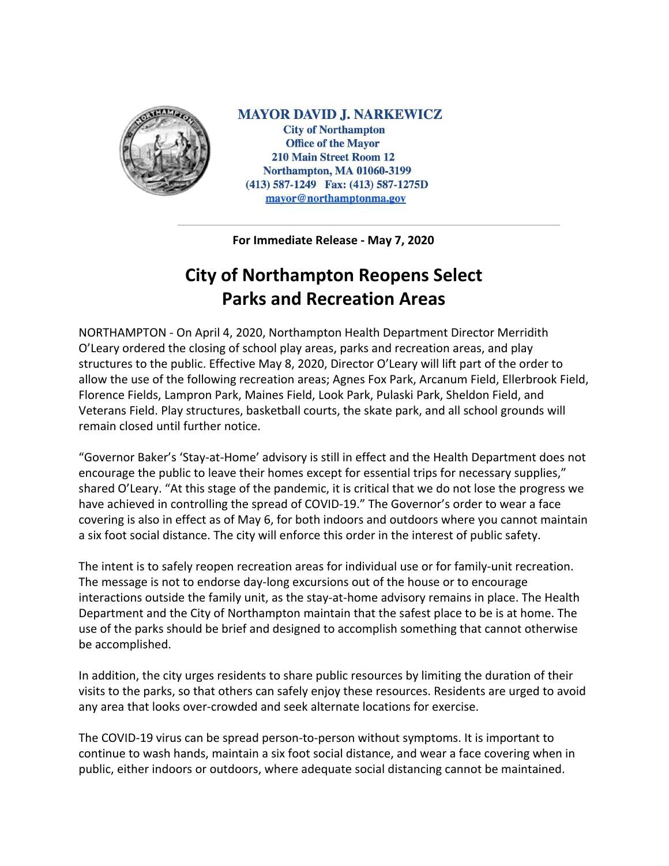

**MAYOR DAVID J. NARKEWICZ City of Northampton Office of the Mayor 210 Main Street Room 12 Northampton, MA 01060-3199** (413) 587-1249 Fax: (413) 587-1275D mayor@northamptonma.gov

**For Immediate Release - May 7, 2020**

## **City of Northampton Reopens Select Parks and Recreation Areas**

NORTHAMPTON - On April 4, 2020, Northampton Health Department Director Merridith O'Leary ordered the closing of school play areas, parks and recreation areas, and play structures to the public. Effective May 8, 2020, Director O'Leary will lift part of the order to allow the use of the following recreation areas; Agnes Fox Park, Arcanum Field, Ellerbrook Field, Florence Fields, Lampron Park, Maines Field, Look Park, Pulaski Park, Sheldon Field, and Veterans Field. Play structures, basketball courts, the skate park, and all school grounds will remain closed until further notice.

"Governor Baker's 'Stay-at-Home' advisory is still in effect and the Health Department does not encourage the public to leave their homes except for essential trips for necessary supplies," shared O'Leary. "At this stage of the pandemic, it is critical that we do not lose the progress we have achieved in controlling the spread of COVID-19." The Governor's order to wear a face covering is also in effect as of May 6, for both indoors and outdoors where you cannot maintain a six foot social distance. The city will enforce this order in the interest of public safety.

The intent is to safely reopen recreation areas for individual use or for family-unit recreation. The message is not to endorse day-long excursions out of the house or to encourage interactions outside the family unit, as the stay-at-home advisory remains in place. The Health Department and the City of Northampton maintain that the safest place to be is at home. The use of the parks should be brief and designed to accomplish something that cannot otherwise be accomplished.

In addition, the city urges residents to share public resources by limiting the duration of their visits to the parks, so that others can safely enjoy these resources. Residents are urged to avoid any area that looks over-crowded and seek alternate locations for exercise.

The COVID-19 virus can be spread person-to-person without symptoms. It is important to continue to wash hands, maintain a six foot social distance, and wear a face covering when in public, either indoors or outdoors, where adequate social distancing cannot be maintained.